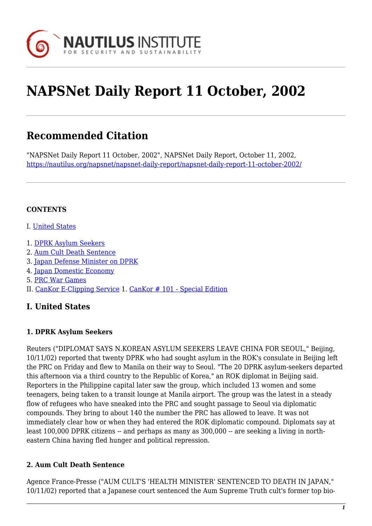

# **NAPSNet Daily Report 11 October, 2002**

## **Recommended Citation**

"NAPSNet Daily Report 11 October, 2002", NAPSNet Daily Report, October 11, 2002, <https://nautilus.org/napsnet/napsnet-daily-report/napsnet-daily-report-11-october-2002/>

#### **CONTENTS**

- I. [United States](#page-0-0)
- 1. [DPRK Asylum Seekers](#page-0-1)
- 2. [Aum Cult Death Sentence](#page-0-2)
- 3. [Japan Defense Minister on DPRK](#page-1-0)
- 4. [Japan Domestic Economy](#page-1-1)
- 5. [PRC War Games](#page-1-2)
- <span id="page-0-0"></span>II. [CanKor E-Clipping Service](#page-2-0) 1. [CanKor # 101 - Special Edition](#page-2-1)

#### **I. United States**

#### <span id="page-0-1"></span>**1. DPRK Asylum Seekers**

Reuters ("DIPLOMAT SAYS N.KOREAN ASYLUM SEEKERS LEAVE CHINA FOR SEOUL," Beijing, 10/11/02) reported that twenty DPRK who had sought asylum in the ROK's consulate in Beijing left the PRC on Friday and flew to Manila on their way to Seoul. "The 20 DPRK asylum-seekers departed this afternoon via a third country to the Republic of Korea," an ROK diplomat in Beijing said. Reporters in the Philippine capital later saw the group, which included 13 women and some teenagers, being taken to a transit lounge at Manila airport. The group was the latest in a steady flow of refugees who have sneaked into the PRC and sought passage to Seoul via diplomatic compounds. They bring to about 140 the number the PRC has allowed to leave. It was not immediately clear how or when they had entered the ROK diplomatic compound. Diplomats say at least 100,000 DPRK citizens -- and perhaps as many as 300,000 -- are seeking a living in northeastern China having fled hunger and political repression.

#### <span id="page-0-2"></span>**2. Aum Cult Death Sentence**

Agence France-Presse ("AUM CULT'S 'HEALTH MINISTER' SENTENCED TO DEATH IN JAPAN," 10/11/02) reported that a Japanese court sentenced the Aum Supreme Truth cult's former top bio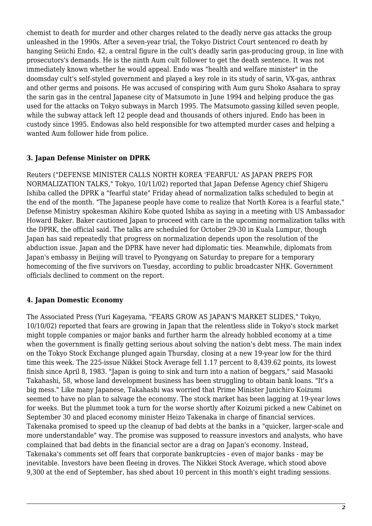chemist to death for murder and other charges related to the deadly nerve gas attacks the group unleashed in the 1990s. After a seven-year trial, the Tokyo District Court sentenced ro death by hanging Seiichi Endo, 42, a central figure in the cult's deadly sarin gas-producing group, in line with prosecutors's demands. He is the ninth Aum cult follower to get the death sentence. It was not immediately known whether he would appeal. Endo was "health and welfare minister" in the doomsday cult's self-styled government and played a key role in its study of sarin, VX-gas, anthrax and other germs and poisons. He was accused of conspiring with Aum guru Shoko Asahara to spray the sarin gas in the central Japanese city of Matsumoto in June 1994 and helping produce the gas used for the attacks on Tokyo subways in March 1995. The Matsumoto gassing killed seven people, while the subway attack left 12 people dead and thousands of others injured. Endo has been in custody since 1995. Endowas also held responsible for two attempted murder cases and helping a wanted Aum follower hide from police.

#### <span id="page-1-0"></span>**3. Japan Defense Minister on DPRK**

Reuters ("DEFENSE MINISTER CALLS NORTH KOREA 'FEARFUL' AS JAPAN PREPS FOR NORMALIZATION TALKS," Tokyo, 10/11/02) reported that Japan Defense Agency chief Shigeru Ishiba called the DPRK a "fearful state" Friday ahead of normalization talks scheduled to begin at the end of the month. "The Japanese people have come to realize that North Korea is a fearful state," Defense Ministry spokesman Akihiro Kobe quoted Ishiba as saying in a meeting with US Ambassador Howard Baker. Baker cautioned Japan to proceed with care in the upcoming normalization talks with the DPRK, the official said. The talks are scheduled for October 29-30 in Kuala Lumpur, though Japan has said repeatedly that progress on normalization depends upon the resolution of the abduction issue. Japan and the DPRK have never had diplomatic ties. Meanwhile, diplomats from Japan's embassy in Beijing will travel to Pyongyang on Saturday to prepare for a temporary homecoming of the five survivors on Tuesday, according to public broadcaster NHK. Government officials declined to comment on the report.

#### <span id="page-1-1"></span>**4. Japan Domestic Economy**

<span id="page-1-2"></span>The Associated Press (Yuri Kageyama, "FEARS GROW AS JAPAN'S MARKET SLIDES," Tokyo, 10/10/02) reported that fears are growing in Japan that the relentless slide in Tokyo's stock market might topple companies or major banks and further harm the already hobbled economy at a time when the government is finally getting serious about solving the nation's debt mess. The main index on the Tokyo Stock Exchange plunged again Thursday, closing at a new 19-year low for the third time this week. The 225-issue Nikkei Stock Average fell 1.17 percent to 8,439.62 points, its lowest finish since April 8, 1983. "Japan is going to sink and turn into a nation of beggars," said Masaoki Takahashi, 58, whose land development business has been struggling to obtain bank loans. "It's a big mess." Like many Japanese, Takahashi was worried that Prime Minister Junichiro Koizumi seemed to have no plan to salvage the economy. The stock market has been lagging at 19-year lows for weeks. But the plummet took a turn for the worse shortly after Koizumi picked a new Cabinet on September 30 and placed economy minister Heizo Takenaka in charge of financial services. Takenaka promised to speed up the cleanup of bad debts at the banks in a "quicker, larger-scale and more understandable" way. The promise was supposed to reassure investors and analysts, who have complained that bad debts in the financial sector are a drag on Japan's economy. Instead, Takenaka's comments set off fears that corporate bankruptcies - even of major banks - may be inevitable. Investors have been fleeing in droves. The Nikkei Stock Average, which stood above 9,300 at the end of September, has shed about 10 percent in this month's eight trading sessions.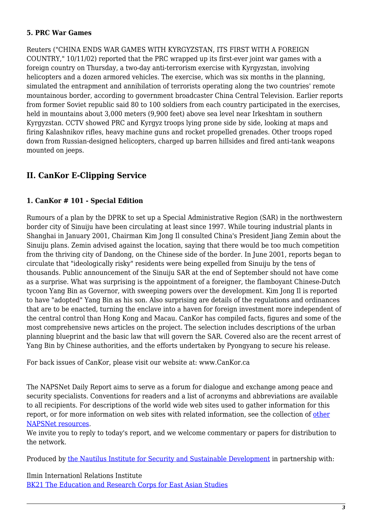#### **5. PRC War Games**

Reuters ("CHINA ENDS WAR GAMES WITH KYRGYZSTAN, ITS FIRST WITH A FOREIGN COUNTRY," 10/11/02) reported that the PRC wrapped up its first-ever joint war games with a foreign country on Thursday, a two-day anti-terrorism exercise with Kyrgyzstan, involving helicopters and a dozen armored vehicles. The exercise, which was six months in the planning, simulated the entrapment and annihilation of terrorists operating along the two countries' remote mountainous border, according to government broadcaster China Central Television. Earlier reports from former Soviet republic said 80 to 100 soldiers from each country participated in the exercises, held in mountains about 3,000 meters (9,900 feet) above sea level near Irkeshtam in southern Kyrgyzstan. CCTV showed PRC and Kyrgyz troops lying prone side by side, looking at maps and firing Kalashnikov rifles, heavy machine guns and rocket propelled grenades. Other troops roped down from Russian-designed helicopters, charged up barren hillsides and fired anti-tank weapons mounted on jeeps.

### <span id="page-2-0"></span>**II. CanKor E-Clipping Service**

#### <span id="page-2-1"></span>**1. CanKor # 101 - Special Edition**

Rumours of a plan by the DPRK to set up a Special Administrative Region (SAR) in the northwestern border city of Sinuiju have been circulating at least since 1997. While touring industrial plants in Shanghai in January 2001, Chairman Kim Jong Il consulted China's President Jiang Zemin about the Sinuiju plans. Zemin advised against the location, saying that there would be too much competition from the thriving city of Dandong, on the Chinese side of the border. In June 2001, reports began to circulate that "ideologically risky" residents were being expelled from Sinuiju by the tens of thousands. Public announcement of the Sinuiju SAR at the end of September should not have come as a surprise. What was surprising is the appointment of a foreigner, the flamboyant Chinese-Dutch tycoon Yang Bin as Governor, with sweeping powers over the development. Kim Jong Il is reported to have "adopted" Yang Bin as his son. Also surprising are details of the regulations and ordinances that are to be enacted, turning the enclave into a haven for foreign investment more independent of the central control than Hong Kong and Macau. CanKor has compiled facts, figures and some of the most comprehensive news articles on the project. The selection includes descriptions of the urban planning blueprint and the basic law that will govern the SAR. Covered also are the recent arrest of Yang Bin by Chinese authorities, and the efforts undertaken by Pyongyang to secure his release.

For back issues of CanKor, please visit our website at: www.CanKor.ca

The NAPSNet Daily Report aims to serve as a forum for dialogue and exchange among peace and security specialists. Conventions for readers and a list of acronyms and abbreviations are available to all recipients. For descriptions of the world wide web sites used to gather information for this report, or for more information on web sites with related information, see the collection of [other](http://nautilus.org/kiosk/weblinks.html) [NAPSNet resources.](http://nautilus.org/kiosk/weblinks.html)

We invite you to reply to today's report, and we welcome commentary or papers for distribution to the network.

Produced by [the Nautilus Institute for Security and Sustainable Development](http://nautilus.org/admin/about.html) in partnership with:

Ilmin Internationl Relations Institute [BK21 The Education and Research Corps for East Asian Studies](http://web.korea.ac.kr/~politics/index.html)